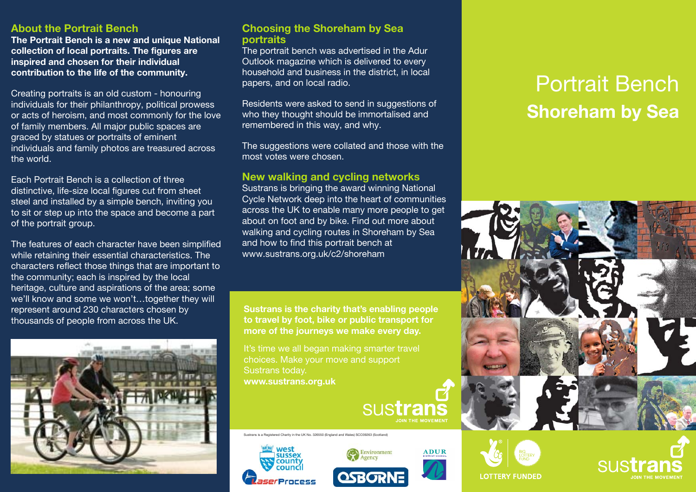## **About the Portrait Bench**

**The Portrait Bench is a new and unique National collection of local portraits. The figures are inspired and chosen for their individual contribution to the life of the community.**

Creating portraits is an old custom - honouring individuals for their philanthropy, political prowess or acts of heroism, and most commonly for the love of family members. All major public spaces are graced by statues or portraits of eminent individuals and family photos are treasured across the world.

Each Portrait Bench is a collection of three distinctive, life-size local figures cut from sheet steel and installed by a simple bench, inviting you to sit or step up into the space and become a part of the portrait group.

The features of each character have been simplified while retaining their essential characteristics. The characters reflect those things that are important to the community; each is inspired by the local heritage, culture and aspirations of the area; some we'll know and some we won't…together they will represent around 230 characters chosen by thousands of people from across the UK.



## **Choosing the Shoreham by Sea portraits**

The portrait bench was advertised in the Adur Outlook magazine which is delivered to every household and business in the district, in local papers, and on local radio.

Residents were asked to send in suggestions of who they thought should be immortalised and remembered in this way, and why.

The suggestions were collated and those with the most votes were chosen.

### **New walking and cycling networks**

Sustrans is bringing the award winning National Cycle Network deep into the heart of communities across the UK to enable many more people to get about on foot and by bike. Find out more about walking and cycling routes in Shoreham by Sea and how to find this portrait bench at www.sustrans.org.uk/c2/shoreham

**Sustrans is the charity that's enabling people to travel by foot, bike or public transport for more of the journeys we make every day.**

It's time we all began making smarter travel choices. Make your move and support Sustrans today. **www.sustrans.org.uk**

sustrar

Sustrans is a Registered Charity in the UK No. 326550 (England and Wales) SCO39263 (Scotland)







# **ADUR**





## Portrait Bench **Shoreham by Sea**